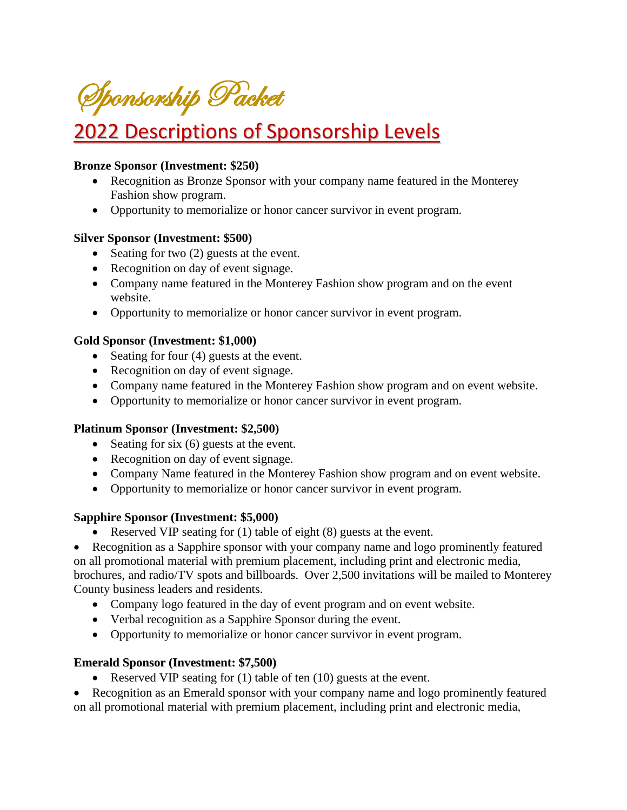Sponsorship Packet

# 2022 Descriptions of Sponsorship Levels

#### **Bronze Sponsor (Investment: \$250)**

- Recognition as Bronze Sponsor with your company name featured in the Monterey Fashion show program.
- Opportunity to memorialize or honor cancer survivor in event program.

#### **Silver Sponsor (Investment: \$500)**

- Seating for two (2) guests at the event.
- Recognition on day of event signage.
- Company name featured in the Monterey Fashion show program and on the event website.
- Opportunity to memorialize or honor cancer survivor in event program.

#### **Gold Sponsor (Investment: \$1,000)**

- Seating for four (4) guests at the event.
- Recognition on day of event signage.
- Company name featured in the Monterey Fashion show program and on event website.
- Opportunity to memorialize or honor cancer survivor in event program.

#### **Platinum Sponsor (Investment: \$2,500)**

- Seating for six (6) guests at the event.
- Recognition on day of event signage.
- Company Name featured in the Monterey Fashion show program and on event website.
- Opportunity to memorialize or honor cancer survivor in event program.

#### **Sapphire Sponsor (Investment: \$5,000)**

• Reserved VIP seating for (1) table of eight (8) guests at the event.

• Recognition as a Sapphire sponsor with your company name and logo prominently featured on all promotional material with premium placement, including print and electronic media, brochures, and radio/TV spots and billboards. Over 2,500 invitations will be mailed to Monterey County business leaders and residents.

- Company logo featured in the day of event program and on event website.
- Verbal recognition as a Sapphire Sponsor during the event.
- Opportunity to memorialize or honor cancer survivor in event program.

#### **Emerald Sponsor (Investment: \$7,500)**

• Reserved VIP seating for (1) table of ten (10) guests at the event.

• Recognition as an Emerald sponsor with your company name and logo prominently featured on all promotional material with premium placement, including print and electronic media,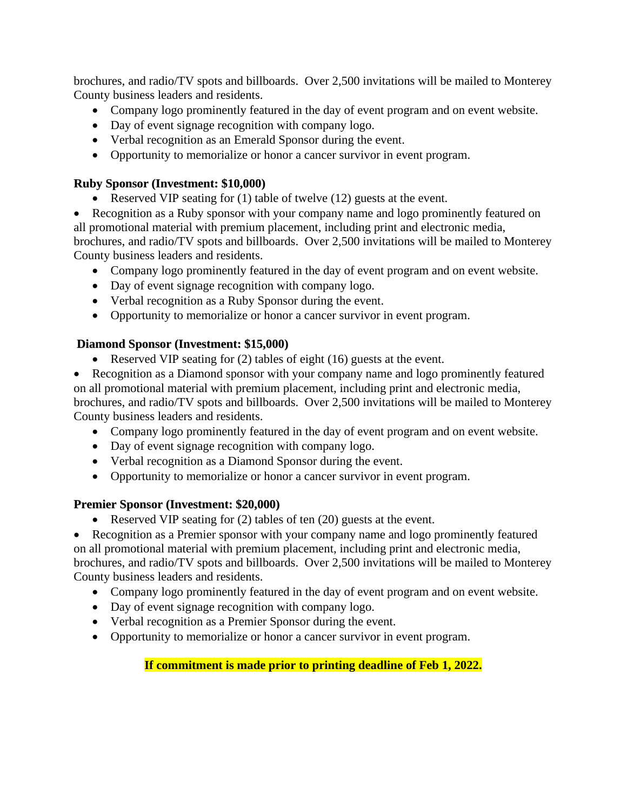brochures, and radio/TV spots and billboards. Over 2,500 invitations will be mailed to Monterey County business leaders and residents.

- Company logo prominently featured in the day of event program and on event website.
- Day of event signage recognition with company logo.
- Verbal recognition as an Emerald Sponsor during the event.
- Opportunity to memorialize or honor a cancer survivor in event program.

#### **Ruby Sponsor (Investment: \$10,000)**

- Reserved VIP seating for (1) table of twelve (12) guests at the event.
- Recognition as a Ruby sponsor with your company name and logo prominently featured on all promotional material with premium placement, including print and electronic media, brochures, and radio/TV spots and billboards. Over 2,500 invitations will be mailed to Monterey County business leaders and residents.
	- Company logo prominently featured in the day of event program and on event website.
	- Day of event signage recognition with company logo.
	- Verbal recognition as a Ruby Sponsor during the event.
	- Opportunity to memorialize or honor a cancer survivor in event program.

#### **Diamond Sponsor (Investment: \$15,000)**

- Reserved VIP seating for (2) tables of eight (16) guests at the event.
- Recognition as a Diamond sponsor with your company name and logo prominently featured on all promotional material with premium placement, including print and electronic media, brochures, and radio/TV spots and billboards. Over 2,500 invitations will be mailed to Monterey County business leaders and residents.
	- Company logo prominently featured in the day of event program and on event website.
	- Day of event signage recognition with company logo.
	- Verbal recognition as a Diamond Sponsor during the event.
	- Opportunity to memorialize or honor a cancer survivor in event program.

#### **Premier Sponsor (Investment: \$20,000)**

• Reserved VIP seating for (2) tables of ten (20) guests at the event.

• Recognition as a Premier sponsor with your company name and logo prominently featured on all promotional material with premium placement, including print and electronic media, brochures, and radio/TV spots and billboards. Over 2,500 invitations will be mailed to Monterey County business leaders and residents.

- Company logo prominently featured in the day of event program and on event website.
- Day of event signage recognition with company logo.
- Verbal recognition as a Premier Sponsor during the event.
- Opportunity to memorialize or honor a cancer survivor in event program.

#### **If commitment is made prior to printing deadline of Feb 1, 2022.**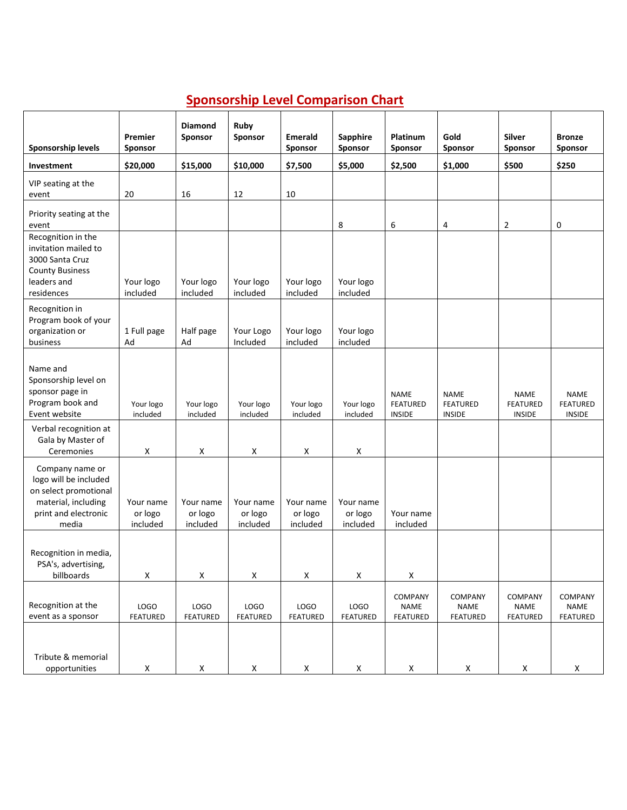## **Sponsorship Level Comparison Chart**

| Sponsorship levels                                                                                                        | Premier<br>Sponsor               | <b>Diamond</b><br>Sponsor        | Ruby<br>Sponsor                  | <b>Emerald</b><br>Sponsor        | Sapphire<br>Sponsor              | Platinum<br>Sponsor                             | Gold<br>Sponsor                                 | <b>Silver</b><br>Sponsor                        | <b>Bronze</b><br><b>Sponsor</b>                 |
|---------------------------------------------------------------------------------------------------------------------------|----------------------------------|----------------------------------|----------------------------------|----------------------------------|----------------------------------|-------------------------------------------------|-------------------------------------------------|-------------------------------------------------|-------------------------------------------------|
| Investment                                                                                                                | \$20,000                         | \$15,000                         | \$10,000                         | \$7,500                          | \$5,000                          | \$2,500                                         | \$1,000                                         | \$500                                           | \$250                                           |
| VIP seating at the<br>event                                                                                               | 20                               | 16                               | 12                               | 10                               |                                  |                                                 |                                                 |                                                 |                                                 |
| Priority seating at the<br>event                                                                                          |                                  |                                  |                                  |                                  | 8                                | 6                                               | 4                                               | 2                                               | 0                                               |
| Recognition in the<br>invitation mailed to<br>3000 Santa Cruz<br><b>County Business</b>                                   |                                  |                                  |                                  |                                  |                                  |                                                 |                                                 |                                                 |                                                 |
| leaders and<br>residences                                                                                                 | Your logo<br>included            | Your logo<br>included            | Your logo<br>included            | Your logo<br>included            | Your logo<br>included            |                                                 |                                                 |                                                 |                                                 |
| Recognition in<br>Program book of your<br>organization or<br>business                                                     | 1 Full page<br>Ad                | Half page<br>Ad                  | Your Logo<br>Included            | Your logo<br>included            | Your logo<br>included            |                                                 |                                                 |                                                 |                                                 |
| Name and<br>Sponsorship level on<br>sponsor page in<br>Program book and<br>Event website                                  | Your logo<br>included            | Your logo<br>included            | Your logo<br>included            | Your logo<br>included            | Your logo<br>included            | <b>NAME</b><br><b>FEATURED</b><br><b>INSIDE</b> | <b>NAME</b><br><b>FEATURED</b><br><b>INSIDE</b> | <b>NAME</b><br><b>FEATURED</b><br><b>INSIDE</b> | <b>NAME</b><br><b>FEATURED</b><br><b>INSIDE</b> |
| Verbal recognition at<br>Gala by Master of<br>Ceremonies                                                                  | X                                | X                                | X                                | X                                | X                                |                                                 |                                                 |                                                 |                                                 |
| Company name or<br>logo will be included<br>on select promotional<br>material, including<br>print and electronic<br>media | Your name<br>or logo<br>included | Your name<br>or logo<br>included | Your name<br>or logo<br>included | Your name<br>or logo<br>included | Your name<br>or logo<br>included | Your name<br>included                           |                                                 |                                                 |                                                 |
| Recognition in media,<br>PSA's, advertising,<br>billboards                                                                | X                                | Χ                                | X                                | X                                | $\mathsf X$                      | X                                               |                                                 |                                                 |                                                 |
| Recognition at the<br>event as a sponsor                                                                                  | LOGO<br>FEATURED                 | LOGO<br>FEATURED                 | LOGO<br>FEATURED                 | LOGO<br><b>FEATURED</b>          | LOGO<br>FEATURED                 | COMPANY<br><b>NAME</b><br>FEATURED              | COMPANY<br><b>NAME</b><br>FEATURED              | COMPANY<br><b>NAME</b><br><b>FEATURED</b>       | COMPANY<br><b>NAME</b><br>FEATURED              |
| Tribute & memorial<br>opportunities                                                                                       | X                                | $\mathsf X$                      | X                                | $\mathsf X$                      | $\pmb{\mathsf{X}}$               | X                                               | $\pmb{\mathsf{X}}$                              | X                                               | $\pmb{\times}$                                  |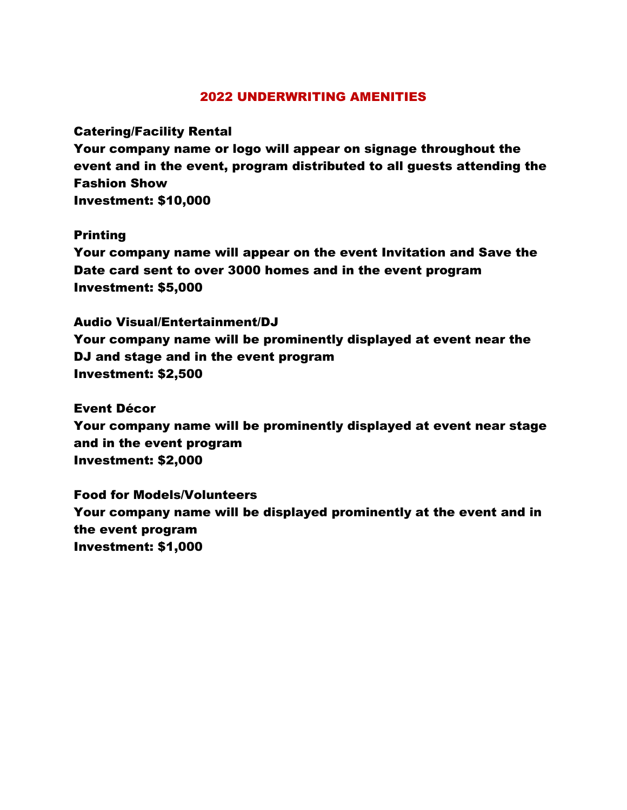#### 2022 UNDERWRITING AMENITIES

Catering/Facility Rental

Your company name or logo will appear on signage throughout the event and in the event, program distributed to all guests attending the Fashion Show Investment: \$10,000

Printing

Your company name will appear on the event Invitation and Save the Date card sent to over 3000 homes and in the event program Investment: \$5,000

Audio Visual/Entertainment/DJ Your company name will be prominently displayed at event near the DJ and stage and in the event program Investment: \$2,500

Event Décor Your company name will be prominently displayed at event near stage and in the event program Investment: \$2,000

Food for Models/Volunteers Your company name will be displayed prominently at the event and in the event program Investment: \$1,000